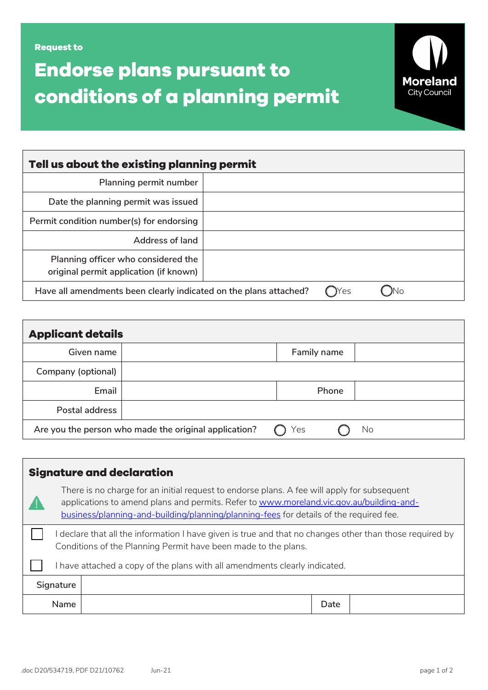**Endorse plans pursuant to conditions of a planning permit**



| Tell us about the existing planning permit                                      |  |  |  |  |
|---------------------------------------------------------------------------------|--|--|--|--|
| Planning permit number                                                          |  |  |  |  |
| Date the planning permit was issued                                             |  |  |  |  |
| Permit condition number(s) for endorsing                                        |  |  |  |  |
| Address of land                                                                 |  |  |  |  |
| Planning officer who considered the<br>original permit application (if known)   |  |  |  |  |
| Yes<br>Have all amendments been clearly indicated on the plans attached?<br>JNO |  |  |  |  |
|                                                                                 |  |  |  |  |

| <b>Applicant details</b>                                           |  |             |  |  |
|--------------------------------------------------------------------|--|-------------|--|--|
| Given name                                                         |  | Family name |  |  |
| Company (optional)                                                 |  |             |  |  |
| Email                                                              |  | Phone       |  |  |
| Postal address                                                     |  |             |  |  |
| Are you the person who made the original application?<br>Yes<br>No |  |             |  |  |

| <b>Signature and declaration</b>                                                                                                                                           |                                                                                                                                                                                                                                                                                  |  |      |  |
|----------------------------------------------------------------------------------------------------------------------------------------------------------------------------|----------------------------------------------------------------------------------------------------------------------------------------------------------------------------------------------------------------------------------------------------------------------------------|--|------|--|
|                                                                                                                                                                            | There is no charge for an initial request to endorse plans. A fee will apply for subsequent<br>applications to amend plans and permits. Refer to www.moreland.vic.gov.au/building-and-<br>business/planning-and-building/planning/planning-fees for details of the required fee. |  |      |  |
| l declare that all the information I have given is true and that no changes other than those required by<br>Conditions of the Planning Permit have been made to the plans. |                                                                                                                                                                                                                                                                                  |  |      |  |
| I have attached a copy of the plans with all amendments clearly indicated.                                                                                                 |                                                                                                                                                                                                                                                                                  |  |      |  |
|                                                                                                                                                                            | Signature                                                                                                                                                                                                                                                                        |  |      |  |
|                                                                                                                                                                            | <b>Name</b>                                                                                                                                                                                                                                                                      |  | Date |  |